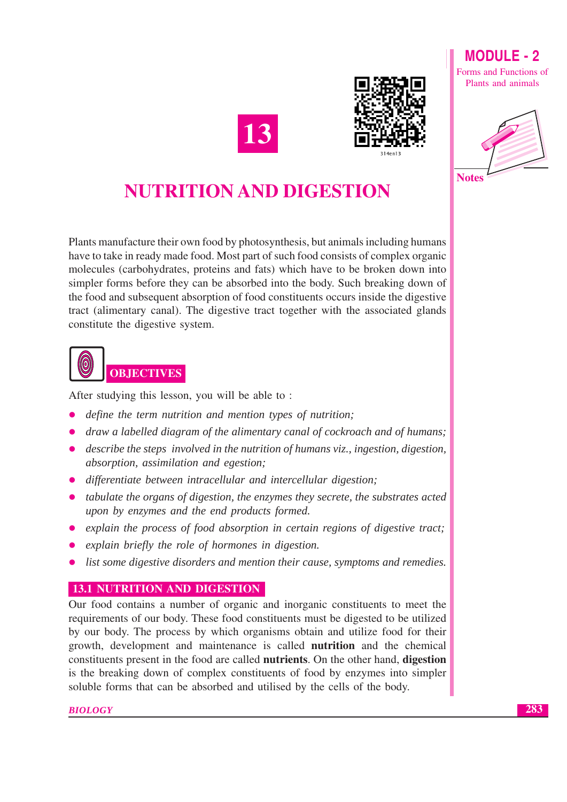



**MODULE-2** Forms and Functions of

Plants and animals



## **NUTRITION AND DIGESTION**

Plants manufacture their own food by photosynthesis, but animals including humans have to take in ready made food. Most part of such food consists of complex organic molecules (carbohydrates, proteins and fats) which have to be broken down into simpler forms before they can be absorbed into the body. Such breaking down of the food and subsequent absorption of food constituents occurs inside the digestive tract (alimentary canal). The digestive tract together with the associated glands constitute the digestive system.



After studying this lesson, you will be able to:

- define the term nutrition and mention types of nutrition;  $\bullet$
- draw a labelled diagram of the alimentary canal of cockroach and of humans;
- describe the steps involved in the nutrition of humans viz., ingestion, digestion, absorption, assimilation and egestion;
- differentiate between intracellular and intercellular digestion;
- tabulate the organs of digestion, the enzymes they secrete, the substrates acted upon by enzymes and the end products formed.
- explain the process of food absorption in certain regions of digestive tract;
- explain briefly the role of hormones in digestion.
- list some digestive disorders and mention their cause, symptoms and remedies.

### **13.1 NUTRITION AND DIGESTION**

Our food contains a number of organic and inorganic constituents to meet the requirements of our body. These food constituents must be digested to be utilized by our body. The process by which organisms obtain and utilize food for their growth, development and maintenance is called **nutrition** and the chemical constituents present in the food are called **nutrients**. On the other hand, **digestion** is the breaking down of complex constituents of food by enzymes into simpler soluble forms that can be absorbed and utilised by the cells of the body.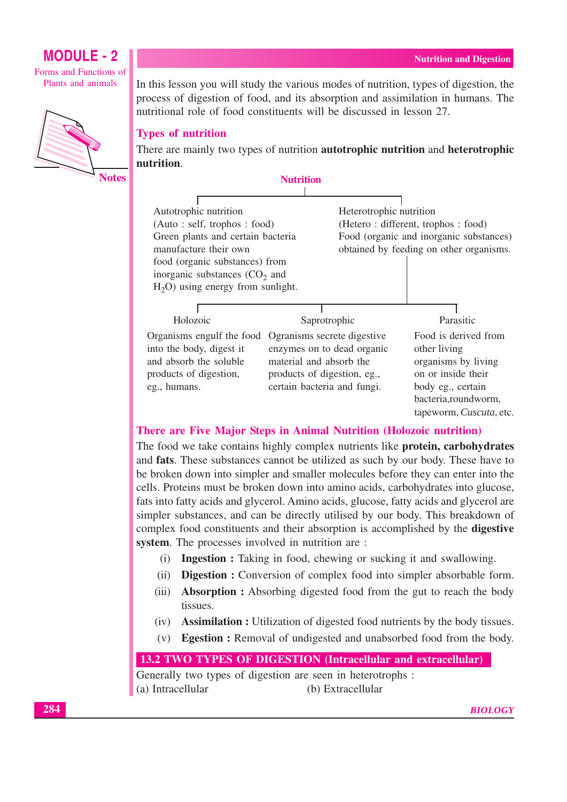Forms and Functions of Plants and animals



**Notes** 

In this lesson you will study the various modes of nutrition, types of digestion, the process of digestion of food, and its absorption and assimilation in humans. The nutritional role of food constituents will be discussed in lesson 27.

#### **Types of nutrition**

There are mainly two types of nutrition **autotrophic nutrition** and **heterotrophic** nutrition.



#### There are Five Major Steps in Animal Nutrition (Holozoic nutrition)

The food we take contains highly complex nutrients like **protein**, carbohydrates and fats. These substances cannot be utilized as such by our body. These have to be broken down into simpler and smaller molecules before they can enter into the cells. Proteins must be broken down into amino acids, carbohydrates into glucose, fats into fatty acids and glycerol. Amino acids, glucose, fatty acids and glycerol are simpler substances, and can be directly utilised by our body. This breakdown of complex food constituents and their absorption is accomplished by the **digestive** system. The processes involved in nutrition are :

- (i) Ingestion : Taking in food, chewing or sucking it and swallowing.
- **Digestion :** Conversion of complex food into simpler absorbable form.  $(ii)$
- **Absorption :** Absorbing digested food from the gut to reach the body  $(iii)$ tissues.
- $(iv)$ **Assimilation :** Utilization of digested food nutrients by the body tissues.
- $(v)$ **Egestion :** Removal of undigested and unabsorbed food from the body.

#### 13.2 TWO TYPES OF DIGESTION (Intracellular and extracellular)

Generally two types of digestion are seen in heterotrophs : (a) Intracellular (b) Extracellular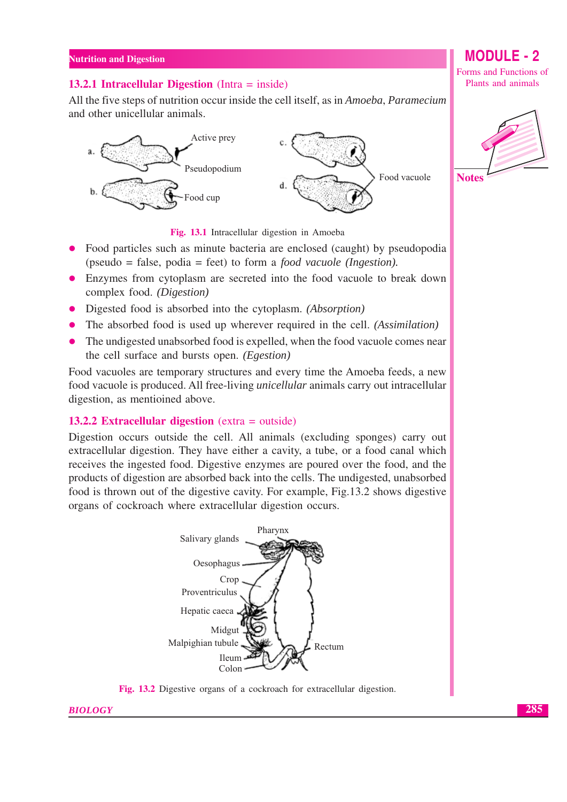#### 13.2.1 Intracellular Digestion (Intra  $=$  inside)

All the five steps of nutrition occur inside the cell itself, as in Amoeba, Paramecium and other unicellular animals.



Fig. 13.1 Intracellular digestion in Amoeba

- Food particles such as minute bacteria are enclosed (caught) by pseudopodia (pseudo = false, podia = feet) to form a *food vacuole (Ingestion)*.
- Enzymes from cytoplasm are secreted into the food vacuole to break down complex food. (Digestion)
- Digested food is absorbed into the cytoplasm. *(Absorption)*
- The absorbed food is used up wherever required in the cell. *(Assimilation)*
- The undigested unabsorbed food is expelled, when the food vacuole comes near  $\bullet$ the cell surface and bursts open. (Egestion)

Food vacuoles are temporary structures and every time the Amoeba feeds, a new food vacuole is produced. All free-living *unicellular* animals carry out intracellular digestion, as mentioined above.

#### 13.2.2 Extracellular digestion ( $extra = outside$ )

Digestion occurs outside the cell. All animals (excluding sponges) carry out extracellular digestion. They have either a cavity, a tube, or a food canal which receives the ingested food. Digestive enzymes are poured over the food, and the products of digestion are absorbed back into the cells. The undigested, unabsorbed food is thrown out of the digestive cavity. For example, Fig.13.2 shows digestive organs of cockroach where extracellular digestion occurs.



Fig. 13.2 Digestive organs of a cockroach for extracellular digestion.

Forms and Functions of Plants and animals

**MODULE - 2** 

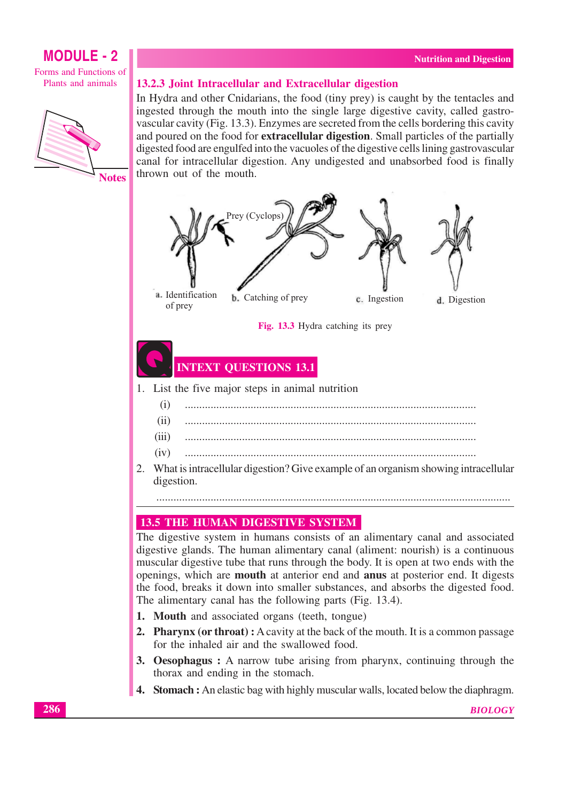#### **MODULE - 2** Forms and Functions of Plants and animals



#### 13.2.3 Joint Intracellular and Extracellular digestion

In Hydra and other Cnidarians, the food (tiny prey) is caught by the tentacles and ingested through the mouth into the single large digestive cavity, called gastrovascular cavity (Fig. 13.3). Enzymes are secreted from the cells bordering this cavity and poured on the food for **extracellular digestion**. Small particles of the partially digested food are engulfed into the vacuoles of the digestive cells lining gastrovascular canal for intracellular digestion. Any undigested and unabsorbed food is finally thrown out of the mouth.





### **INTEXT QUESTIONS 13.1**

1. List the five major steps in animal nutrition

| $M_{\rm tot}$ is interestible at the set on $\Omega$ (the compact of the continuation of the inter- |
|-----------------------------------------------------------------------------------------------------|

2. What is intracellular digestion? Give example of an organism showing intracellular digestion.

#### **13.5 THE HUMAN DIGESTIVE SYSTEM**

The digestive system in humans consists of an alimentary canal and associated digestive glands. The human alimentary canal (aliment: nourish) is a continuous muscular digestive tube that runs through the body. It is open at two ends with the openings, which are **mouth** at anterior end and **anus** at posterior end. It digests the food, breaks it down into smaller substances, and absorbs the digested food. The alimentary canal has the following parts (Fig. 13.4).

- 1. Mouth and associated organs (teeth, tongue)
- 2. Pharvnx (or throat): A cavity at the back of the mouth. It is a common passage for the inhaled air and the swallowed food.
- 3. Oesophagus: A narrow tube arising from pharynx, continuing through the thorax and ending in the stomach.
- **4.** Stomach: An elastic bag with highly muscular walls, located below the diaphragm.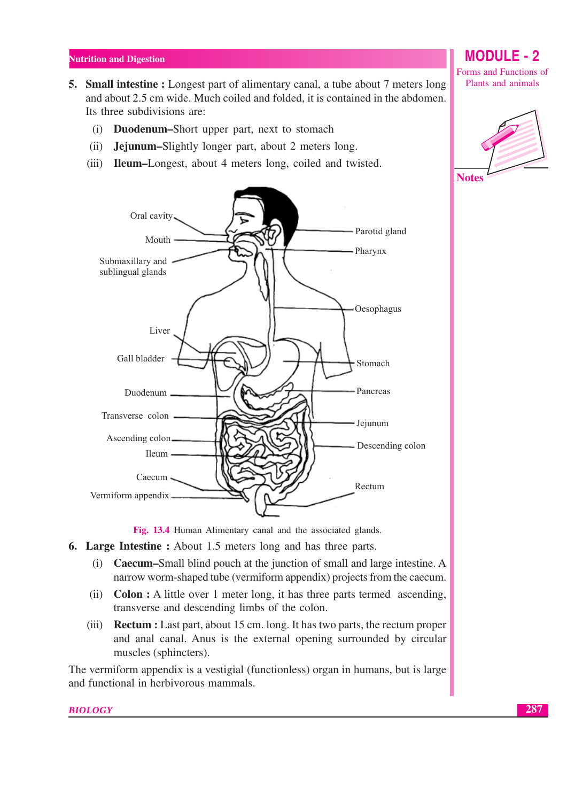- **5. Small intestine :** Longest part of alimentary canal, a tube about 7 meters long and about 2.5 cm wide. Much coiled and folded, it is contained in the abdomen. Its three subdivisions are:
	- (i) **Duodenum–Short** upper part, next to stomach
	- $(ii)$ **Jejunum-Slightly longer part, about 2 meters long.**
	- (iii) **Ileum–L**ongest, about 4 meters long, coiled and twisted.



Fig. 13.4 Human Alimentary canal and the associated glands.

- **6. Large Intestine :** About 1.5 meters long and has three parts.
	- (i) **Caecum–Small** blind pouch at the junction of small and large intestine. A narrow worm-shaped tube (vermiform appendix) projects from the caecum.
	- (ii) **Colon :** A little over 1 meter long, it has three parts termed ascending, transverse and descending limbs of the colon.
	- (iii) **Rectum**: Last part, about 15 cm. long. It has two parts, the rectum proper and anal canal. Anus is the external opening surrounded by circular muscles (sphincters).

The vermiform appendix is a vestigial (functionless) organ in humans, but is large and functional in herbivorous mammals.

**BIOLOGY** 

**MODULE - 2** 

Forms and Functions of Plants and animals

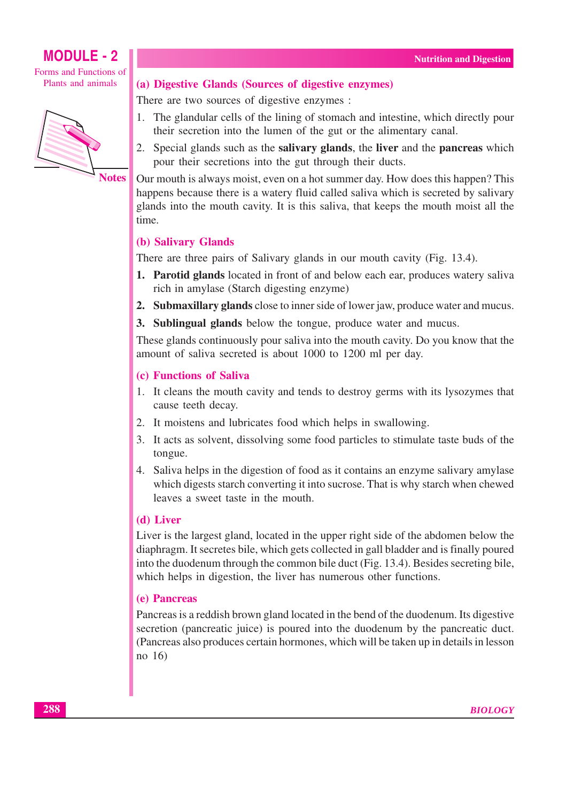Forms and Functions of Plants and animals



**Notes** 

#### (a) Digestive Glands (Sources of digestive enzymes)

There are two sources of digestive enzymes :

- 1. The glandular cells of the lining of stomach and intestine, which directly pour their secretion into the lumen of the gut or the alimentary canal.
- 2. Special glands such as the **salivary glands**, the **liver** and the **pancreas** which pour their secretions into the gut through their ducts.

Our mouth is always moist, even on a hot summer day. How does this happen? This happens because there is a watery fluid called saliva which is secreted by salivary glands into the mouth cavity. It is this saliva, that keeps the mouth moist all the time.

#### (b) Salivary Glands

There are three pairs of Salivary glands in our mouth cavity (Fig. 13.4).

- 1. Parotid glands located in front of and below each ear, produces watery saliva rich in amylase (Starch digesting enzyme)
- 2. Submaxillary glands close to inner side of lower jaw, produce water and mucus.
- 3. Sublingual glands below the tongue, produce water and mucus.

These glands continuously pour saliva into the mouth cavity. Do you know that the amount of saliva secreted is about 1000 to 1200 ml per day.

- (c) Functions of Saliva
- 1. It cleans the mouth cavity and tends to destroy germs with its lysozymes that cause teeth decay.
- 2. It moistens and lubricates food which helps in swallowing.
- 3. It acts as solvent, dissolving some food particles to stimulate taste buds of the tongue.
- 4. Saliva helps in the digestion of food as it contains an enzyme salivary amylase which digests starch converting it into sucrose. That is why starch when chewed leaves a sweet taste in the mouth.

#### (d) Liver

Liver is the largest gland, located in the upper right side of the abdomen below the diaphragm. It secretes bile, which gets collected in gall bladder and is finally poured into the duodenum through the common bile duct (Fig. 13.4). Besides secreting bile, which helps in digestion, the liver has numerous other functions.

#### (e) Pancreas

Pancreas is a reddish brown gland located in the bend of the duodenum. Its digestive secretion (pancreatic juice) is poured into the duodenum by the pancreatic duct. (Pancreas also produces certain hormones, which will be taken up in details in lesson  $no$  16)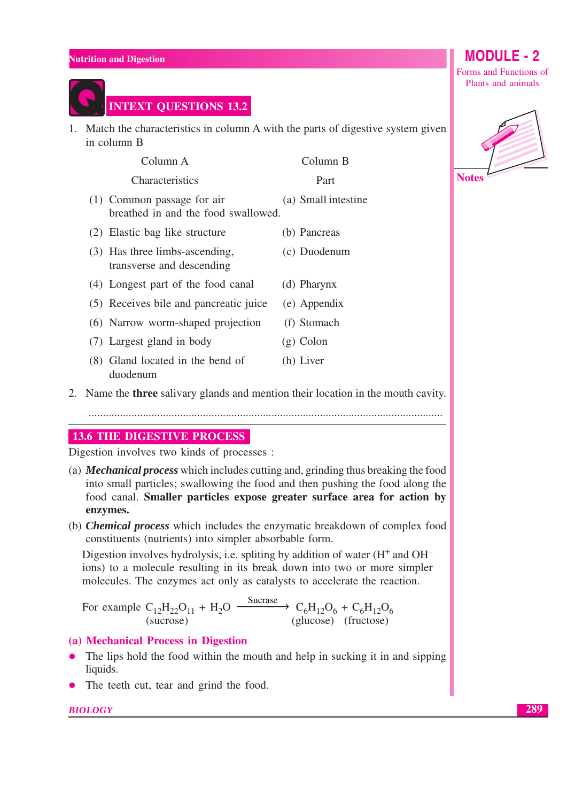

1. Match the characteristics in column A with the parts of digestive system given in column B

| Column A                                                            | Column B            |
|---------------------------------------------------------------------|---------------------|
| Characteristics                                                     | Part                |
| $(1)$ Common passage for air<br>breathed in and the food swallowed. | (a) Small intestine |
| (2) Elastic bag like structure                                      | (b) Pancreas        |
| (3) Has three limbs-ascending,<br>transverse and descending         | (c) Duodenum        |
| (4) Longest part of the food canal                                  | (d) Pharynx         |
| (5) Receives bile and pancreatic juice                              | (e) Appendix        |
| (6) Narrow worm-shaped projection                                   | (f) Stomach         |
| (7) Largest gland in body                                           | $(g)$ Colon         |
| (8) Gland located in the bend of<br>duodenum                        | (h) Liver           |

#### 2. Name the **three** salivary glands and mention their location in the mouth cavity.

**13.6 THE DIGESTIVE PROCESS** 

Digestion involves two kinds of processes :

- (a) **Mechanical process** which includes cutting and, grinding thus breaking the food into small particles; swallowing the food and then pushing the food along the food canal. Smaller particles expose greater surface area for action by enzymes.
- (b) *Chemical process* which includes the enzymatic breakdown of complex food constituents (nutrients) into simpler absorbable form.

Digestion involves hydrolysis, i.e. spliting by addition of water  $(H^+$  and  $OH^$ ions) to a molecule resulting in its break down into two or more simpler molecules. The enzymes act only as catalysts to accelerate the reaction.

Sucrase  $C_6H_{12}O_6 + C_6H_{12}O_6$ For example  $C_{12}H_{22}O_{11} + H_2O$ (sucrose) (glucose) (fructose)

#### (a) Mechanical Process in Digestion

- The lips hold the food within the mouth and help in sucking it in and sipping  $\bullet$ liquids.
- The teeth cut, tear and grind the food.  $\bullet$

#### **BIOLOGY**

**MODULE - 2** 

Forms and Functions of Plants and animals

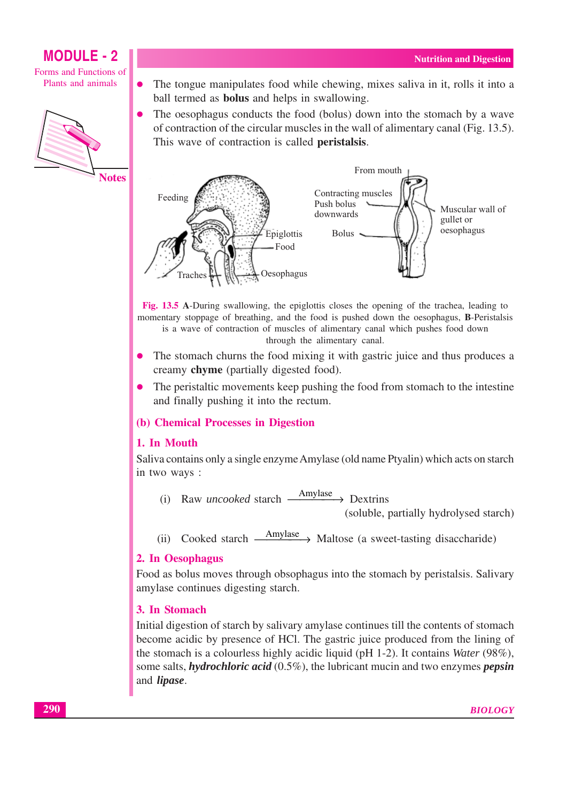Forms and Functions of Plants and animals



The tongue manipulates food while chewing, mixes saliva in it, rolls it into a  $\bullet$ ball termed as **bolus** and helps in swallowing.

The oesophagus conducts the food (bolus) down into the stomach by a wave of contraction of the circular muscles in the wall of alimentary canal (Fig. 13.5). This wave of contraction is called **peristalsis**.



Fig. 13.5 A-During swallowing, the epiglottis closes the opening of the trachea, leading to momentary stoppage of breathing, and the food is pushed down the oesophagus, B-Peristalsis is a wave of contraction of muscles of alimentary canal which pushes food down

through the alimentary canal.

- The stomach churns the food mixing it with gastric juice and thus produces a creamy chyme (partially digested food).
- The peristaltic movements keep pushing the food from stomach to the intestine and finally pushing it into the rectum.

#### (b) Chemical Processes in Digestion

#### 1. In Mouth

Saliva contains only a single enzyme Amylase (old name Ptyalin) which acts on starch in two ways :

- $\xrightarrow{\text{Amylase}}$  Dextrins Raw *uncooked* starch  $(i)$ (soluble, partially hydrolysed starch)
- Amylase > Maltose (a sweet-tasting disaccharide) Cooked starch - $(ii)$

#### 2. In Oesophagus

Food as bolus moves through obsophagus into the stomach by peristals is. Salivary amylase continues digesting starch.

#### 3. In Stomach

Initial digestion of starch by salivary amylase continues till the contents of stomach become acidic by presence of HCl. The gastric juice produced from the lining of the stomach is a colourless highly acidic liquid (pH 1-2). It contains *Water* (98%), some salts, *hydrochloric acid*  $(0.5\%)$ , the lubricant mucin and two enzymes *pepsin* and *lipase*.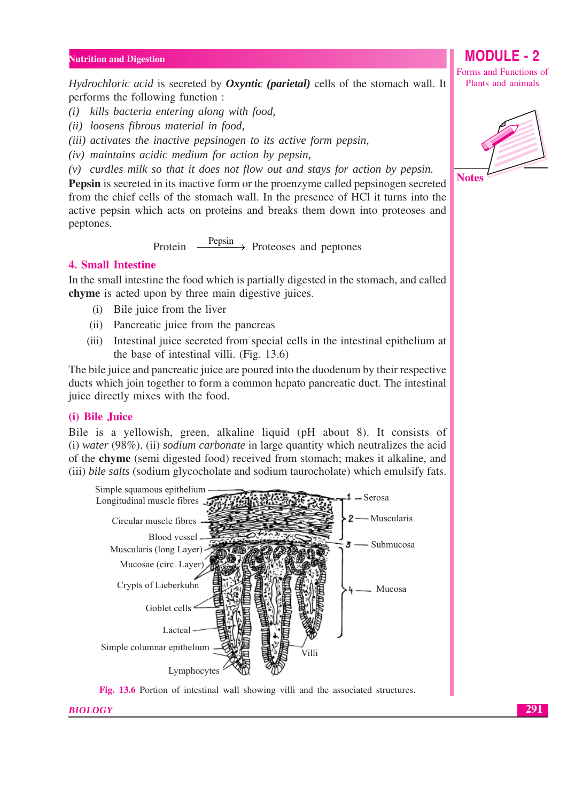*Hydrochloric acid* is secreted by *Oxyntic (parietal)* cells of the stomach wall. It performs the following function:

(i) kills bacteria entering along with food.

(ii) loosens fibrous material in food,

(iii) activates the inactive pepsinogen to its active form pepsin,

 $(iv)$  maintains acidic medium for action by pepsin,

 $(v)$  curdles milk so that it does not flow out and stays for action by pepsin.

**Pepsin** is secreted in its inactive form or the proenzyme called pepsinogen secreted from the chief cells of the stomach wall. In the presence of HCl it turns into the active pepsin which acts on proteins and breaks them down into proteoses and peptones.

> $\frac{\text{Pepsin}}{\text{Proteoses}}$  Proteoses and peptones Protein -

#### **4. Small Intestine**

In the small intestine the food which is partially digested in the stomach, and called chyme is acted upon by three main digestive juices.

- (i) Bile juice from the liver
- (ii) Pancreatic juice from the pancreas
- (iii) Intestinal juice secreted from special cells in the intestinal epithelium at the base of intestinal villi. (Fig. 13.6)

The bile juice and pancreatic juice are poured into the duodenum by their respective ducts which join together to form a common hepato pancreatic duct. The intestinal juice directly mixes with the food.

#### (i) Bile Juice

Bile is a yellowish, green, alkaline liquid (pH about 8). It consists of  $(i)$  water (98%), (ii) sodium carbonate in large quantity which neutralizes the acid of the **chyme** (semi digested food) received from stomach; makes it alkaline, and (iii) bile salts (sodium glycocholate and sodium taurocholate) which emulsify fats.



Fig. 13.6 Portion of intestinal wall showing villi and the associated structures.

#### **BIOLOGY**

Forms and Functions of Plants and animals

**MODULE - 2** 



291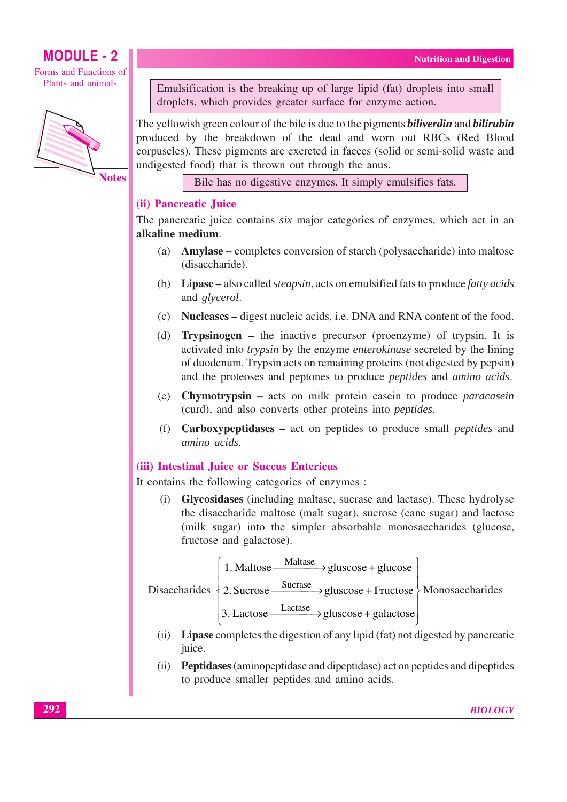Forms and Functions of Plants and animals



**Notes** 

Emulsification is the breaking up of large lipid (fat) droplets into small droplets, which provides greater surface for enzyme action.

The yellowish green colour of the bile is due to the pigments *biliverdin* and *bilirubin* produced by the breakdown of the dead and worn out RBCs (Red Blood corpuscles). These pigments are excreted in faeces (solid or semi-solid waste and undigested food) that is thrown out through the anus.

Bile has no digestive enzymes. It simply emulsifies fats.

#### (ii) Pancreatic Juice

The pancreatic juice contains *six* major categories of enzymes, which act in an alkaline medium.

- (a) **Amylase** completes conversion of starch (polysaccharide) into maltose (disaccharide).
- (b) Lipase also called *steapsin*, acts on emulsified fats to produce *fatty acids* and glycerol.
- (c) Nucleases digest nucleic acids, i.e. DNA and RNA content of the food.
- (d) **Trypsinogen** the inactive precursor (proenzyme) of trypsin. It is activated into *trypsin* by the enzyme *enterokinase* secreted by the lining of duodenum. Trypsin acts on remaining proteins (not digested by pepsin) and the proteoses and peptones to produce *peptides* and *amino* acids.
- (e) Chymotrypsin acts on milk protein case in to produce *paracase in* (curd), and also converts other proteins into *peptides*.
- (f) **Carboxypeptidases** act on peptides to produce small *peptides* and amino acids.

#### (iii) Intestinal Juice or Succus Entericus

It contains the following categories of enzymes :

(i) Glycosidases (including maltase, sucrase and lactase). These hydrolyse the disaccharide maltose (malt sugar), sucrose (cane sugar) and lactose (milk sugar) into the simpler absorbable monosaccharides (glucose, fructose and galactose).

| 1. Maltose | Maltase | $\rightarrow$ gluscose + glucose |
|------------|---------|----------------------------------|
|            |         |                                  |

Disaccharides  $\left\{ 2. \text{Success}\leftarrow \text{Success}\right\}$  gluscose + Fructose  $\left\{ \text{Monosaccharides} \right\}$ 

3. Lactose  $\xrightarrow{\text{Lactase}}$  gluscose + galactose

- (ii) Lipase completes the digestion of any lipid (fat) not digested by pancreatic juice.
- (ii) Peptidases (aminopeptidase and dipeptidase) act on peptides and dipeptides to produce smaller peptides and amino acids.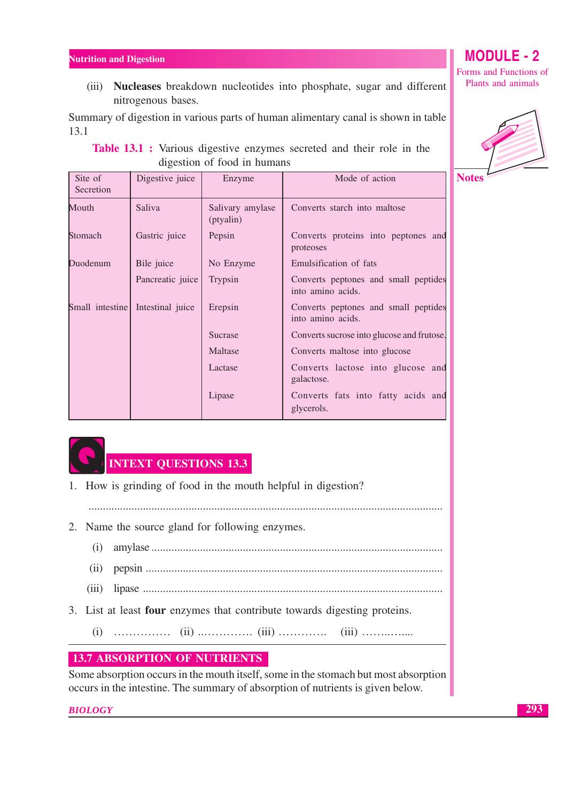(iii) Nucleases breakdown nucleotides into phosphate, sugar and different nitrogenous bases.

Summary of digestion in various parts of human alimentary canal is shown in table  $13.1$ 

| <b>Table 13.1</b> : Various digestive enzymes secreted and their role in the |  |  |  |  |  |  |  |  |  |
|------------------------------------------------------------------------------|--|--|--|--|--|--|--|--|--|
| digestion of food in humans                                                  |  |  |  |  |  |  |  |  |  |



| Site of<br>Secretion | Digestive juice  | Enzyme                        | Mode of action                                            |
|----------------------|------------------|-------------------------------|-----------------------------------------------------------|
| Mouth                | Saliva           | Salivary amylase<br>(ptyalin) | Converts starch into maltose                              |
| Stomach              | Gastric juice    | Pepsin                        | Converts proteins into peptones and<br>proteoses          |
| Duodenum             | Bile juice       | No Enzyme                     | Emulsification of fats                                    |
|                      | Pancreatic juice | Trypsin                       | Converts peptones and small peptides<br>into amino acids. |
| Small intestine      | Intestinal juice | Erepsin                       | Converts peptones and small peptides<br>into amino acids. |
|                      |                  | Sucrase                       | Converts sucrose into glucose and frutose.                |
|                      |                  | Maltase                       | Converts maltose into glucose                             |
|                      |                  | Lactase                       | Converts lactose into glucose and<br>galactose.           |
|                      |                  | Lipase                        | Converts fats into fatty acids and<br>glycerols.          |



### **INTEXT OUESTIONS 13.3**

- 1. How is grinding of food in the mouth helpful in digestion?
- 
- 2. Name the source gland for following enzymes.
	-
	-
	-
- 3. List at least four enzymes that contribute towards digesting proteins.
	-

#### **13.7 ABSORPTION OF NUTRIENTS**

Some absorption occurs in the mouth itself, some in the stomach but most absorption occurs in the intestine. The summary of absorption of nutrients is given below.

**BIOLOGY** 

#### 293

### **MODULE - 2**

Forms and Functions of Plants and animals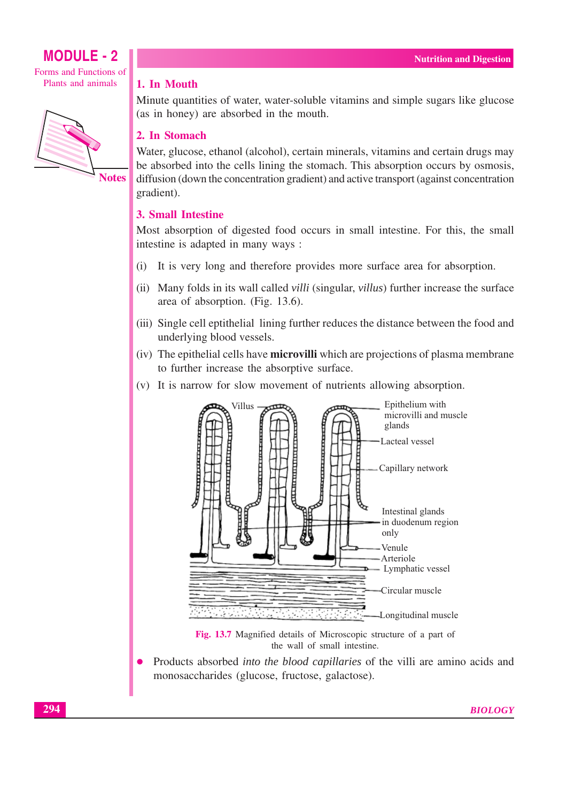Forms and Functions of Plants and animals



**Notes** 

#### 1. In Mouth

Minute quantities of water, water-soluble vitamins and simple sugars like glucose (as in honey) are absorbed in the mouth.

#### 2. In Stomach

Water, glucose, ethanol (alcohol), certain minerals, vitamins and certain drugs may be absorbed into the cells lining the stomach. This absorption occurs by osmosis, diffusion (down the concentration gradient) and active transport (against concentration gradient).

#### **3. Small Intestine**

Most absorption of digested food occurs in small intestine. For this, the small intestine is adapted in many ways :

- It is very long and therefore provides more surface area for absorption.  $(i)$
- (ii) Many folds in its wall called *villi* (singular, *villus*) further increase the surface area of absorption. (Fig. 13.6).
- (iii) Single cell eptithelial lining further reduces the distance between the food and underlying blood vessels.
- (iv) The epithelial cells have **microvilli** which are projections of plasma membrane to further increase the absorptive surface.
- (v) It is narrow for slow movement of nutrients allowing absorption.



Products absorbed *into the blood capillaries* of the villi are amino acids and  $\bullet$ monosaccharides (glucose, fructose, galactose).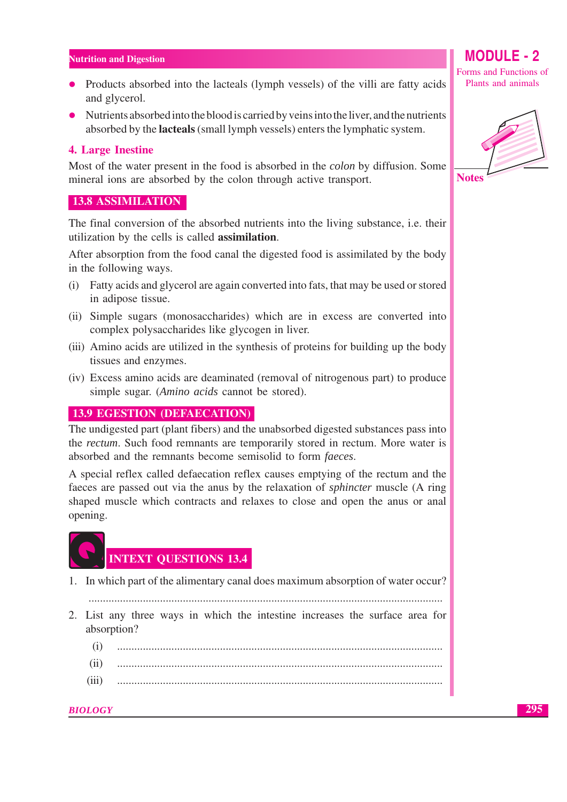- Products absorbed into the lacteals (lymph vessels) of the villi are fatty acids and glycerol.
- Nutrients absorbed into the blood is carried by veins into the liver, and the nutrients absorbed by the **lacteals** (small lymph vessels) enters the lymphatic system.

#### 4. Large Inestine

Most of the water present in the food is absorbed in the *colon* by diffusion. Some mineral ions are absorbed by the colon through active transport.

#### **13.8 ASSIMILATION**

The final conversion of the absorbed nutrients into the living substance, i.e. their utilization by the cells is called **assimilation**.

After absorption from the food canal the digested food is assimilated by the body in the following ways.

- (i) Fatty acids and glycerol are again converted into fats, that may be used or stored in adipose tissue.
- (ii) Simple sugars (monosaccharides) which are in excess are converted into complex polysaccharides like glycogen in liver.
- (iii) Amino acids are utilized in the synthesis of proteins for building up the body tissues and enzymes.
- (iv) Excess amino acids are deaminated (removal of nitrogenous part) to produce simple sugar. (Amino acids cannot be stored).

#### **13.9 EGESTION (DEFAECATION)**

The undigested part (plant fibers) and the unabsorbed digested substances pass into the *rectum*. Such food remnants are temporarily stored in rectum. More water is absorbed and the remnants become semisolid to form *faeces*.

A special reflex called defaecation reflex causes emptying of the rectum and the faeces are passed out via the anus by the relaxation of *sphincter* muscle (A ring shaped muscle which contracts and relaxes to close and open the anus or anal opening.



### **INTEXT OUESTIONS 13.4**

- 1. In which part of the alimentary canal does maximum absorption of water occur?
	-
- 2. List any three ways in which the intestine increases the surface area for absorption?
	- $(i)$
	- $(ii)$
	- $(iii)$

**BIOLOGY** 

### $M$  $O$ DIII $E$ . 2

Forms and Functions of Plants and animals



295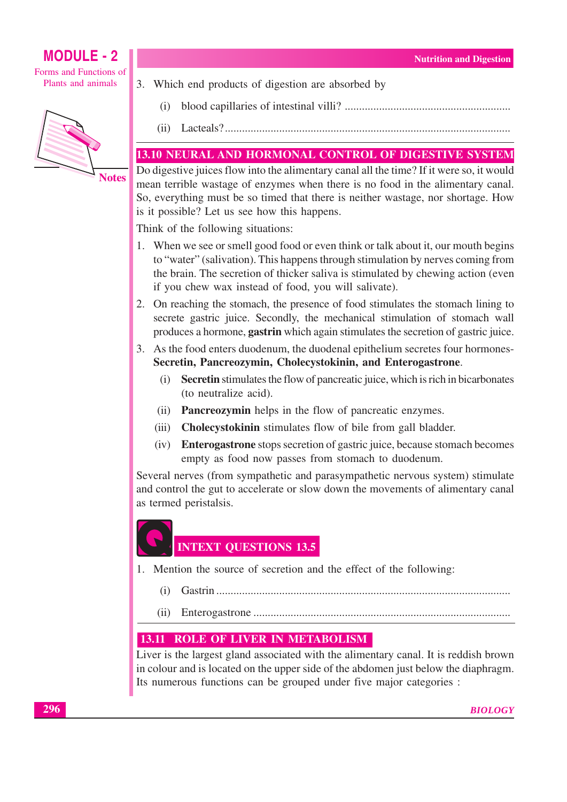Forms and Functions of Plants and animals



3. Which end products of digestion are absorbed by

- $(i)$
- $(ii)$

### 13.10 NEURAL AND HORMONAL CONTROL OF DIGESTIVE SYSTEM

Do digestive juices flow into the alimentary canal all the time? If it were so, it would mean terrible wastage of enzymes when there is no food in the alimentary canal. So, everything must be so timed that there is neither wastage, nor shortage. How is it possible? Let us see how this happens.

Think of the following situations:

- 1. When we see or smell good food or even think or talk about it, our mouth begins to "water" (salivation). This happens through stimulation by nerves coming from the brain. The secretion of thicker saliva is stimulated by chewing action (even if you chew wax instead of food, you will salivate).
- 2. On reaching the stomach, the presence of food stimulates the stomach lining to secrete gastric juice. Secondly, the mechanical stimulation of stomach wall produces a hormone, **gastrin** which again stimulates the secretion of gastric juice.
- 3. As the food enters duodenum, the duodenal epithelium secretes four hormones-Secretin, Pancreozymin, Cholecystokinin, and Enterogastrone.
	- **Secretin** stimulates the flow of pancreatic juice, which is rich in bicarbonates  $(i)$ (to neutralize acid).
	- (ii) **Pancreozymin** helps in the flow of pancreatic enzymes.
	- (iii) **Cholecystokinin** stimulates flow of bile from gall bladder.
	- (iv) Enterogastrone stops secretion of gastric juice, because stomach becomes empty as food now passes from stomach to duodenum.

Several nerves (from sympathetic and parasympathetic nervous system) stimulate and control the gut to accelerate or slow down the movements of alimentary canal as termed peristalsis.

# **INTEXT OUESTIONS 13.5**

- 1. Mention the source of secretion and the effect of the following:
	-
	- $(ii)$

### **13.11 ROLE OF LIVER IN METABOLISM**

Liver is the largest gland associated with the alimentary canal. It is reddish brown in colour and is located on the upper side of the abdomen just below the diaphragm. Its numerous functions can be grouped under five major categories :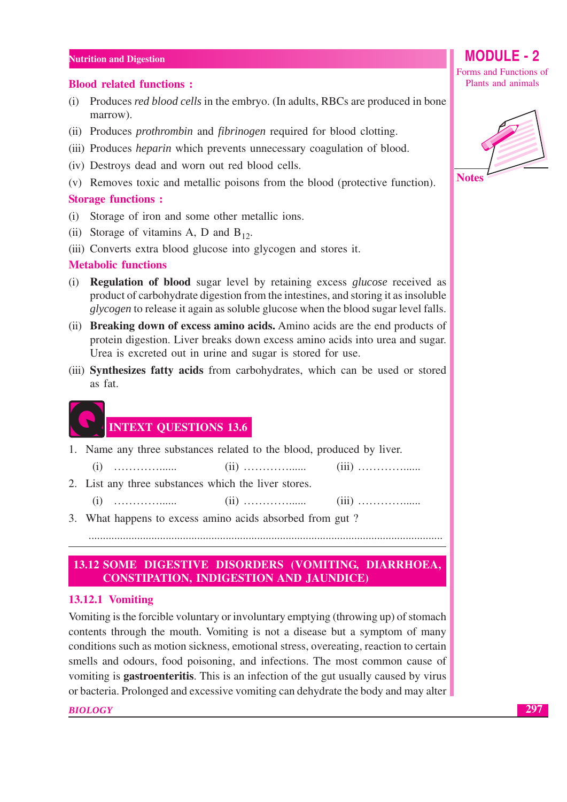#### **Blood related functions:**

- (i) Produces *red blood cells* in the embryo. (In adults, RBCs are produced in bone marrow).
- (ii) Produces *prothrombin* and *fibrinogen* required for blood clotting.
- (iii) Produces *heparin* which prevents unnecessary coagulation of blood.
- (iv) Destroys dead and worn out red blood cells.
- (v) Removes toxic and metallic poisons from the blood (protective function).

#### **Storage functions:**

- (i) Storage of iron and some other metallic ions.
- (ii) Storage of vitamins A, D and  $B_{12}$ .
- (iii) Converts extra blood glucose into glycogen and stores it.

#### **Metabolic functions**

- (i) **Regulation of blood** sugar level by retaining excess *glucose* received as product of carbohydrate digestion from the intestines, and storing it as insoluble *glycogen* to release it again as soluble glucose when the blood sugar level falls.
- (ii) Breaking down of excess amino acids. Amino acids are the end products of protein digestion. Liver breaks down excess amino acids into urea and sugar. Urea is excreted out in urine and sugar is stored for use.
- (iii) Synthesizes fatty acids from carbohydrates, which can be used or stored as fat.

### **INTEXT QUESTIONS 13.6**

1. Name any three substances related to the blood, produced by liver.

 $(i)$ . . . . . . . . . . . . . . . . . . .

- 2. List any three substances which the liver stores.
	-

3. What happens to excess amino acids absorbed from gut?

#### 13.12 SOME DIGESTIVE DISORDERS (VOMITING, DIARRHOEA, **CONSTIPATION, INDIGESTION AND JAUNDICE)**

#### **13.12.1 Vomiting**

Vomiting is the forcible voluntary or involuntary emptying (throwing up) of stomach contents through the mouth. Vomiting is not a disease but a symptom of many conditions such as motion sickness, emotional stress, overeating, reaction to certain smells and odours, food poisoning, and infections. The most common cause of vomiting is **gastroenteritis**. This is an infection of the gut usually caused by virus or bacteria. Prolonged and excessive vomiting can dehydrate the body and may alter

#### **BIOLOGY**

Forms and Functions of Plants and animals

**MODULE - 2** 

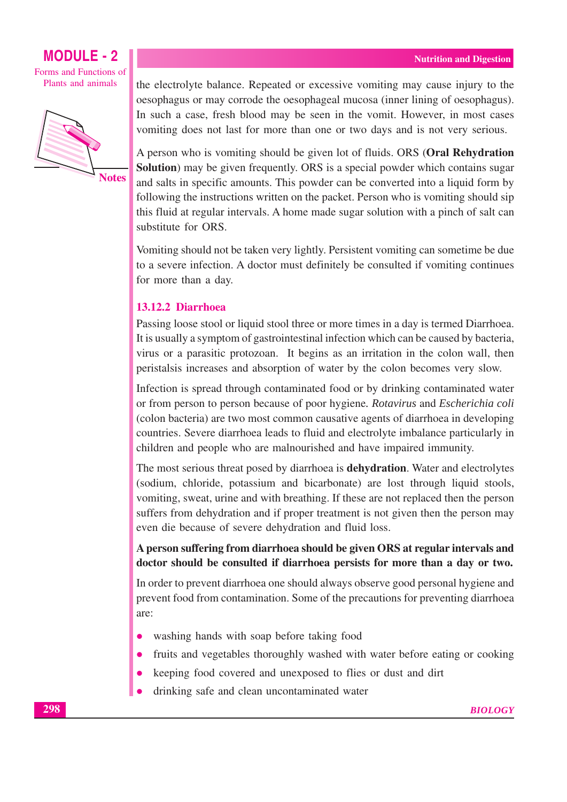### **MODULE - 2** Forms and Functions of

Plants and animals



the electrolyte balance. Repeated or excessive vomiting may cause injury to the oesophagus or may corrode the oesophageal mucosa (inner lining of oesophagus). In such a case, fresh blood may be seen in the vomit. However, in most cases vomiting does not last for more than one or two days and is not very serious.

A person who is vomiting should be given lot of fluids. ORS (Oral Rehydration **Solution**) may be given frequently. ORS is a special powder which contains sugar and salts in specific amounts. This powder can be converted into a liquid form by following the instructions written on the packet. Person who is vomiting should sip this fluid at regular intervals. A home made sugar solution with a pinch of salt can substitute for ORS.

Vomiting should not be taken very lightly. Persistent vomiting can sometime be due to a severe infection. A doctor must definitely be consulted if vomiting continues for more than a day.

#### 13.12.2 Diarrhoea

Passing loose stool or liquid stool three or more times in a day is termed Diarrhoea. It is usually a symptom of gastrointestinal infection which can be caused by bacteria, virus or a parasitic protozoan. It begins as an irritation in the colon wall, then peristalsis increases and absorption of water by the colon becomes very slow.

Infection is spread through contaminated food or by drinking contaminated water or from person to person because of poor hygiene. Rotavirus and Escherichia coli (colon bacteria) are two most common causative agents of diarrhoea in developing countries. Severe diarrhoea leads to fluid and electrolyte imbalance particularly in children and people who are malnourished and have impaired immunity.

The most serious threat posed by diarrhoea is **dehydration**. Water and electrolytes (sodium, chloride, potassium and bicarbonate) are lost through liquid stools, vomiting, sweat, urine and with breathing. If these are not replaced then the person suffers from dehydration and if proper treatment is not given then the person may even die because of severe dehydration and fluid loss.

#### A person suffering from diarrhoea should be given ORS at regular intervals and doctor should be consulted if diarrhoea persists for more than a day or two.

In order to prevent diarrhoea one should always observe good personal hygiene and prevent food from contamination. Some of the precautions for preventing diarrhoea are:

- washing hands with soap before taking food
- fruits and vegetables thoroughly washed with water before eating or cooking
- keeping food covered and unexposed to flies or dust and dirt
- drinking safe and clean uncontaminated water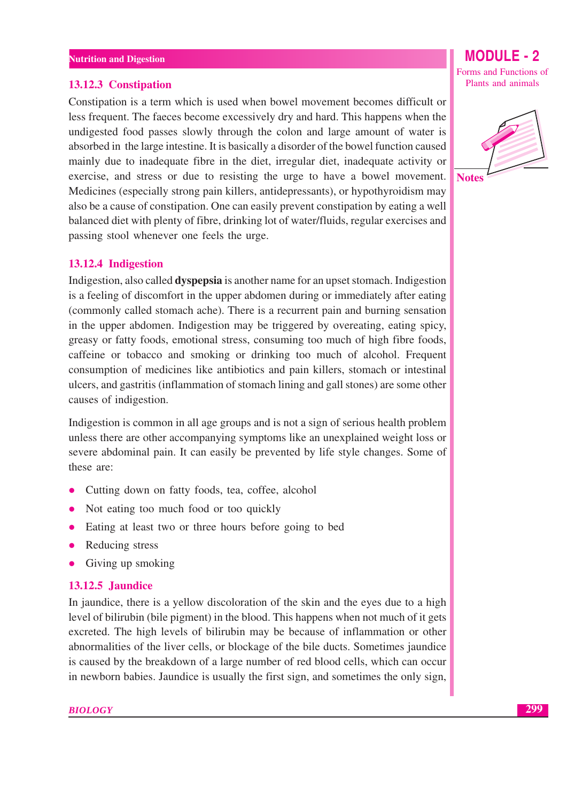#### 13.12.3 Constipation

Constipation is a term which is used when bowel movement becomes difficult or less frequent. The facees become excessively dry and hard. This happens when the undigested food passes slowly through the colon and large amount of water is absorbed in the large intestine. It is basically a disorder of the bowel function caused mainly due to inadequate fibre in the diet, irregular diet, inadequate activity or exercise, and stress or due to resisting the urge to have a bowel movement. Medicines (especially strong pain killers, antidepressants), or hypothyroidism may also be a cause of constipation. One can easily prevent constipation by eating a well balanced diet with plenty of fibre, drinking lot of water/fluids, regular exercises and passing stool whenever one feels the urge.

#### 13.12.4 Indigestion

Indigestion, also called **dyspepsia** is another name for an upset stomach. Indigestion is a feeling of discomfort in the upper abdomen during or immediately after eating (commonly called stomach ache). There is a recurrent pain and burning sensation in the upper abdomen. Indigestion may be triggered by overeating, eating spicy, greasy or fatty foods, emotional stress, consuming too much of high fibre foods, caffeine or tobacco and smoking or drinking too much of alcohol. Frequent consumption of medicines like antibiotics and pain killers, stomach or intestinal ulcers, and gastritis (inflammation of stomach lining and gall stones) are some other causes of indigestion.

Indigestion is common in all age groups and is not a sign of serious health problem unless there are other accompanying symptoms like an unexplained weight loss or severe abdominal pain. It can easily be prevented by life style changes. Some of these are:

- Cutting down on fatty foods, tea, coffee, alcohol  $\bullet$
- Not eating too much food or too quickly  $\bullet$
- Eating at least two or three hours before going to bed
- Reducing stress
- Giving up smoking

#### **13.12.5 Jaundice**

In jaundice, there is a yellow discoloration of the skin and the eyes due to a high level of bilirubin (bile pigment) in the blood. This happens when not much of it gets excreted. The high levels of bilirubin may be because of inflammation or other abnormalities of the liver cells, or blockage of the bile ducts. Sometimes jaundice is caused by the breakdown of a large number of red blood cells, which can occur in newborn babies. Jaundice is usually the first sign, and sometimes the only sign,

Forms and Functions of Plants and animals

**MODULE - 2** 

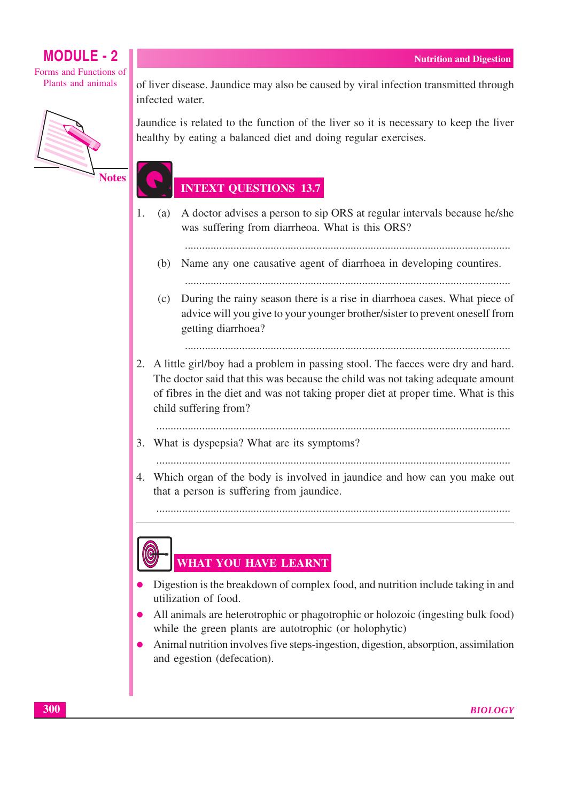Forms and Functions of Plants and animals



of liver disease. Jaundice may also be caused by viral infection transmitted through infected water.

Jaundice is related to the function of the liver so it is necessary to keep the liver healthy by eating a balanced diet and doing regular exercises.

### **INTEXT QUESTIONS 13.7**

A doctor advises a person to sip ORS at regular intervals because he/she  $1<sub>1</sub>$  $(a)$ was suffering from diarrheoa. What is this ORS?

- (b) Name any one causative agent of diarrhoea in developing countires.
- (c) During the rainy season there is a rise in diarrhoea cases. What piece of advice will you give to your younger brother/sister to prevent oneself from getting diarrhoea?

- 2. A little girl/boy had a problem in passing stool. The faeces were dry and hard. The doctor said that this was because the child was not taking adequate amount of fibres in the diet and was not taking proper diet at proper time. What is this child suffering from?
	-
- 3. What is dyspepsia? What are its symptoms?

4. Which organ of the body is involved in jaundice and how can you make out that a person is suffering from jaundice.

### WHAT YOU HAVE LEARNT

- Digestion is the breakdown of complex food, and nutrition include taking in and utilization of food.
- All animals are heterotrophic or phagotrophic or holozoic (ingesting bulk food) while the green plants are autotrophic (or holophytic)
- Animal nutrition involves five steps-ingestion, digestion, absorption, assimilation  $\bullet$ and egestion (defecation).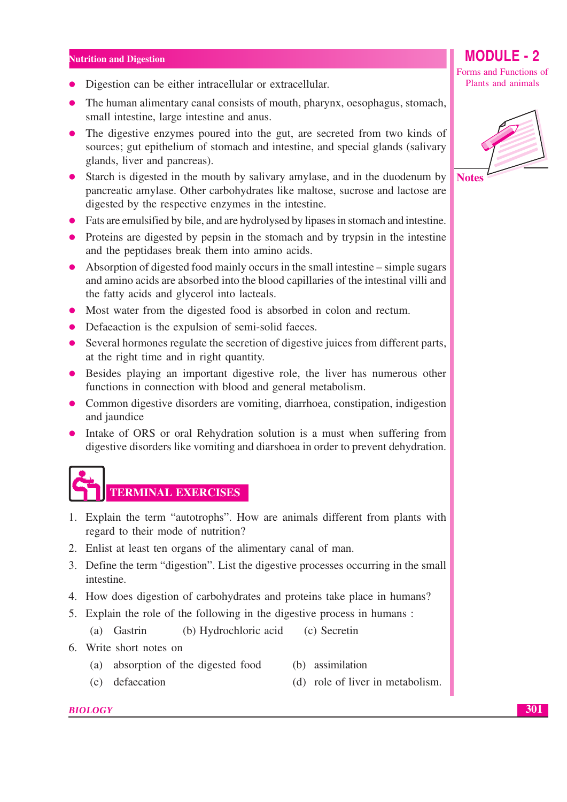- Digestion can be either intracellular or extracellular.
- The human alimentary canal consists of mouth, pharynx, oesophagus, stomach, small intestine, large intestine and anus.
- The digestive enzymes poured into the gut, are secreted from two kinds of sources; gut epithelium of stomach and intestine, and special glands (salivary glands, liver and pancreas).
- Starch is digested in the mouth by salivary amylase, and in the duodenum by pancreatic amylase. Other carbohydrates like maltose, sucrose and lactose are digested by the respective enzymes in the intestine.
- Fats are emulsified by bile, and are hydrolysed by lipases in stomach and intestine.
- Proteins are digested by pepsin in the stomach and by trypsin in the intestine and the peptidases break them into amino acids.
- $\bullet$  Absorption of digested food mainly occurs in the small intestine simple sugars and amino acids are absorbed into the blood capillaries of the intestinal villi and the fatty acids and glycerol into lacteals.
- Most water from the digested food is absorbed in colon and rectum.
- Defaeaction is the expulsion of semi-solid faeces.
- Several hormones regulate the secretion of digestive juices from different parts, at the right time and in right quantity.
- Besides playing an important digestive role, the liver has numerous other functions in connection with blood and general metabolism.
- Common digestive disorders are vomiting, diarrhoea, constipation, indigestion and jaundice
- Intake of ORS or oral Rehydration solution is a must when suffering from digestive disorders like vomiting and diarshoea in order to prevent dehydration.

**TERMINAL EXERCISES** 

- 1. Explain the term "autotrophs". How are animals different from plants with regard to their mode of nutrition?
- 2. Enlist at least ten organs of the alimentary canal of man.
- 3. Define the term "digestion". List the digestive processes occurring in the small intestine.
- 4. How does digestion of carbohydrates and proteins take place in humans?
- 5. Explain the role of the following in the digestive process in humans:
	- $(a)$  Gastrin (b) Hydrochloric acid (c) Secretin
- 6. Write short notes on
	- (a) absorption of the digested food (b) assimilation
	- (c) defaecation (d) role of liver in metabolism.

#### **BIOLOGY**

Forms and Functions of Plants and animals

**MODULE - 2** 



**Notes**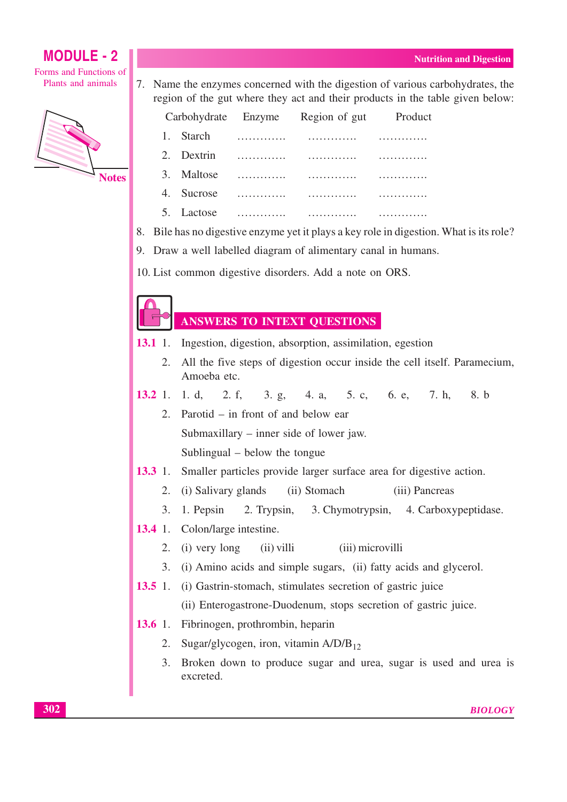Forms and Functions of Plants and animals



7. Name the enzymes concerned with the digestion of various carbohydrates, the region of the gut where they act and their products in the table given below:

| Carbohydrate Enzyme |            |   | Region of gut | Produc |
|---------------------|------------|---|---------------|--------|
|                     | 1. Starch  | . |               |        |
|                     | 2. Dextrin |   |               |        |
| 3.                  | Maltose    |   |               |        |
| 4.                  | Sucrose    |   |               |        |
|                     | 5. Lactose |   |               |        |

8. Bile has no digestive enzyme yet it plays a key role in digestion. What is its role?

9. Draw a well labelled diagram of alimentary canal in humans.

10. List common digestive disorders. Add a note on ORS.

#### **ANSWERS TO INTEXT QUESTIONS**

- $13.1 \t1.$ Ingestion, digestion, absorption, assimilation, egestion
	- 2. All the five steps of digestion occur inside the cell itself. Paramecium, Amoeba etc.
- $13.2$  1 1 d.  $2. f.$ 5. c. 6. e. 7. h.  $8. h$  $3. \varrho$ . 4. a.
	- Parotid  $-$  in front of and below ear  $2<sup>1</sup>$ Submaxillary  $-$  inner side of lower jaw.

Sublingual – below the tongue

- $13.3 \t1.$ Smaller particles provide larger surface area for digestive action.
	- $2.$ (i) Salivary glands (ii) Stomach (iii) Pancreas
	- $\overline{3}$ . 1. Pepsin 2. Trypsin, 3. Chymotrypsin, 4. Carboxypeptidase.
- $13.4 \t1.$ Colon/large intestine.
	- (iii) microvilli  $2.$ (i) very long  $(ii)$  villi
	- 3. (i) Amino acids and simple sugars, (ii) fatty acids and glycerol.
- 13.5 1. (i) Gastrin-stomach, stimulates secretion of gastric juice
	- (ii) Enterogastrone-Duodenum, stops secretion of gastric juice.
- 13.6 1. Fibrinogen, prothrombin, heparin
	- Sugar/glycogen, iron, vitamin  $A/D/B_{12}$ 2.
	- 3. Broken down to produce sugar and urea, sugar is used and urea is excreted.